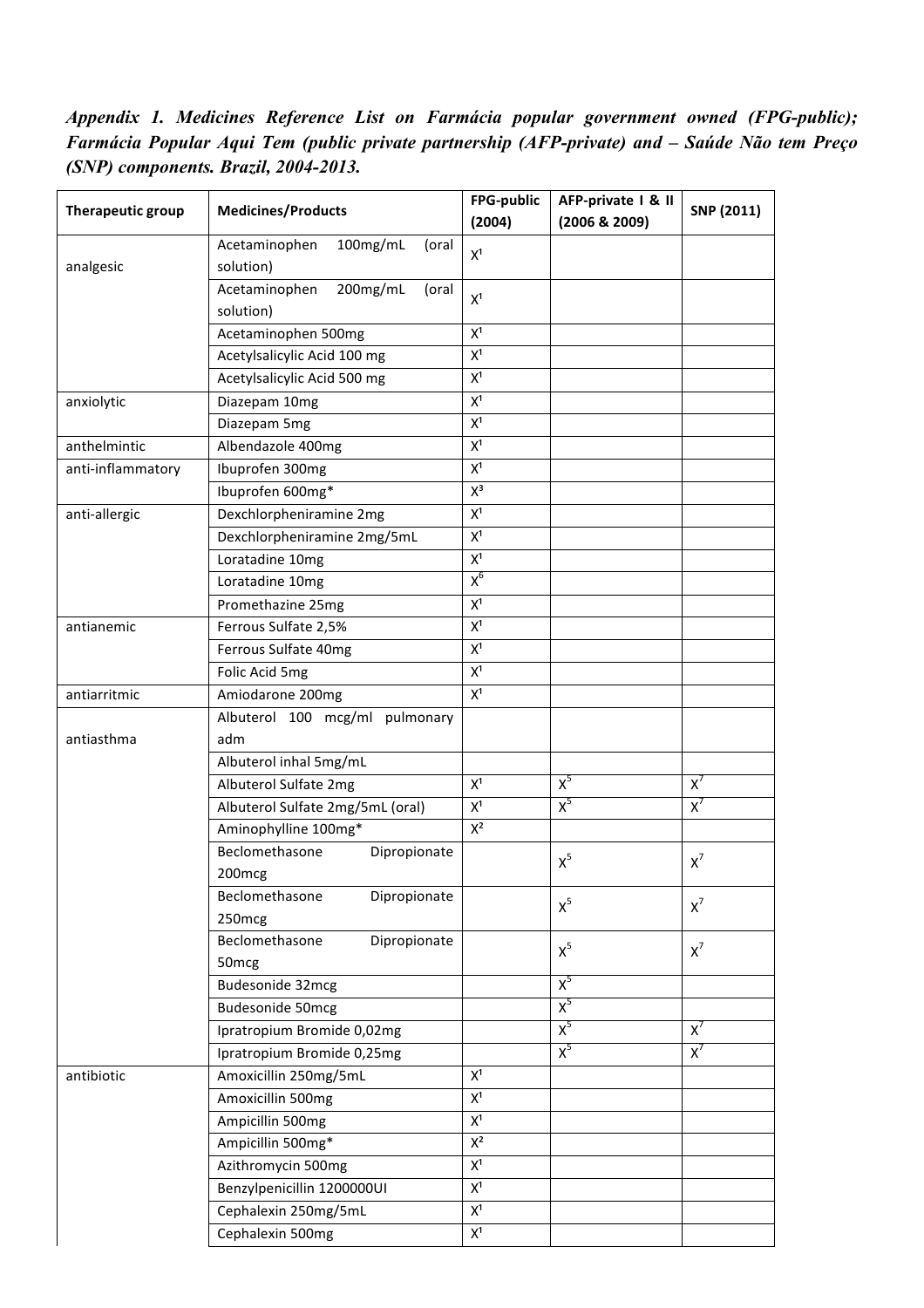*Appendix 1. Medicines Reference List on Farmácia popular government owned (FPG-public); Farmácia Popular Aqui Tem (public private partnership (AFP-private) and – Saúde Não tem Preço (SNP) components. Brazil, 2004-2013.*

| Therapeutic group | <b>Medicines/Products</b>                       | FPG-public     | AFP-private   & II | SNP (2011) |
|-------------------|-------------------------------------------------|----------------|--------------------|------------|
|                   |                                                 | (2004)         | (2006 & 2009)      |            |
| analgesic         | 100mg/mL<br>Acetaminophen<br>(oral<br>solution) | X <sup>1</sup> |                    |            |
|                   | 200mg/mL<br>Acetaminophen<br>(oral<br>solution) | X <sup>1</sup> |                    |            |
|                   | Acetaminophen 500mg                             | X <sup>1</sup> |                    |            |
|                   | Acetylsalicylic Acid 100 mg                     | $X^1$          |                    |            |
|                   | Acetylsalicylic Acid 500 mg                     | $\mathsf{X}^1$ |                    |            |
| anxiolytic        | Diazepam 10mg                                   | X <sup>1</sup> |                    |            |
|                   | Diazepam 5mg                                    | $X^1$          |                    |            |
| anthelmintic      | Albendazole 400mg                               | $X^1$          |                    |            |
| anti-inflammatory | Ibuprofen 300mg                                 | $\mathsf{X}^1$ |                    |            |
|                   | Ibuprofen 600mg*                                | $X^3$          |                    |            |
| anti-allergic     | Dexchlorpheniramine 2mg                         | $\mathsf{X}^1$ |                    |            |
|                   | Dexchlorpheniramine 2mg/5mL                     | $\mathsf{X}^1$ |                    |            |
|                   | Loratadine 10mg                                 | $X^1$          |                    |            |
|                   | Loratadine 10mg                                 | $X^6$          |                    |            |
|                   | Promethazine 25mg                               | X <sup>1</sup> |                    |            |
| antianemic        | Ferrous Sulfate 2,5%                            | $\mathsf{X}^1$ |                    |            |
|                   | Ferrous Sulfate 40mg                            | $\mathsf{X}^1$ |                    |            |
|                   | Folic Acid 5mg                                  | $X^1$          |                    |            |
| antiarritmic      | Amiodarone 200mg                                | $X^1$          |                    |            |
|                   | Albuterol 100 mcg/ml pulmonary                  |                |                    |            |
| antiasthma        | adm                                             |                |                    |            |
|                   | Albuterol inhal 5mg/mL                          |                |                    |            |
|                   | Albuterol Sulfate 2mg                           | $X^1$          | $X^5$              | $X^7$      |
|                   | Albuterol Sulfate 2mg/5mL (oral)                | $X^1$          | $X^5$              | $X^7$      |
|                   | Aminophylline 100mg*                            | $X^2$          |                    |            |
|                   | Beclomethasone<br>Dipropionate<br>200mcg        |                | $X^5$              | $X^7$      |
|                   | Beclomethasone<br>Dipropionate<br>250mcg        |                | $X^5$              | $x^7$      |
|                   | Beclomethasone<br>Dipropionate                  |                | $X^5$              | $X^7$      |
|                   | 50 <sub>mcg</sub><br>Budesonide 32mcg           |                | $X^5$              |            |
|                   | <b>Budesonide 50mcg</b>                         |                | $X^5$              |            |
|                   | Ipratropium Bromide 0,02mg                      |                | $X^5$              | $X^7$      |
|                   | Ipratropium Bromide 0,25mg                      |                | $X^5$              | $X^7$      |
| antibiotic        | Amoxicillin 250mg/5mL                           | $X^1$          |                    |            |
|                   | Amoxicillin 500mg                               | $X^1$          |                    |            |
|                   | Ampicillin 500mg                                | $\mathsf{X}^1$ |                    |            |
|                   | Ampicillin 500mg*                               | $\mathsf{X}^2$ |                    |            |
|                   | Azithromycin 500mg                              | $\mathsf{X}^1$ |                    |            |
|                   | Benzylpenicillin 1200000UI                      | $X^1$          |                    |            |
|                   | Cephalexin 250mg/5mL                            | $\mathsf{X}^1$ |                    |            |
|                   | Cephalexin 500mg                                | $\mathsf{X}^1$ |                    |            |
|                   |                                                 |                |                    |            |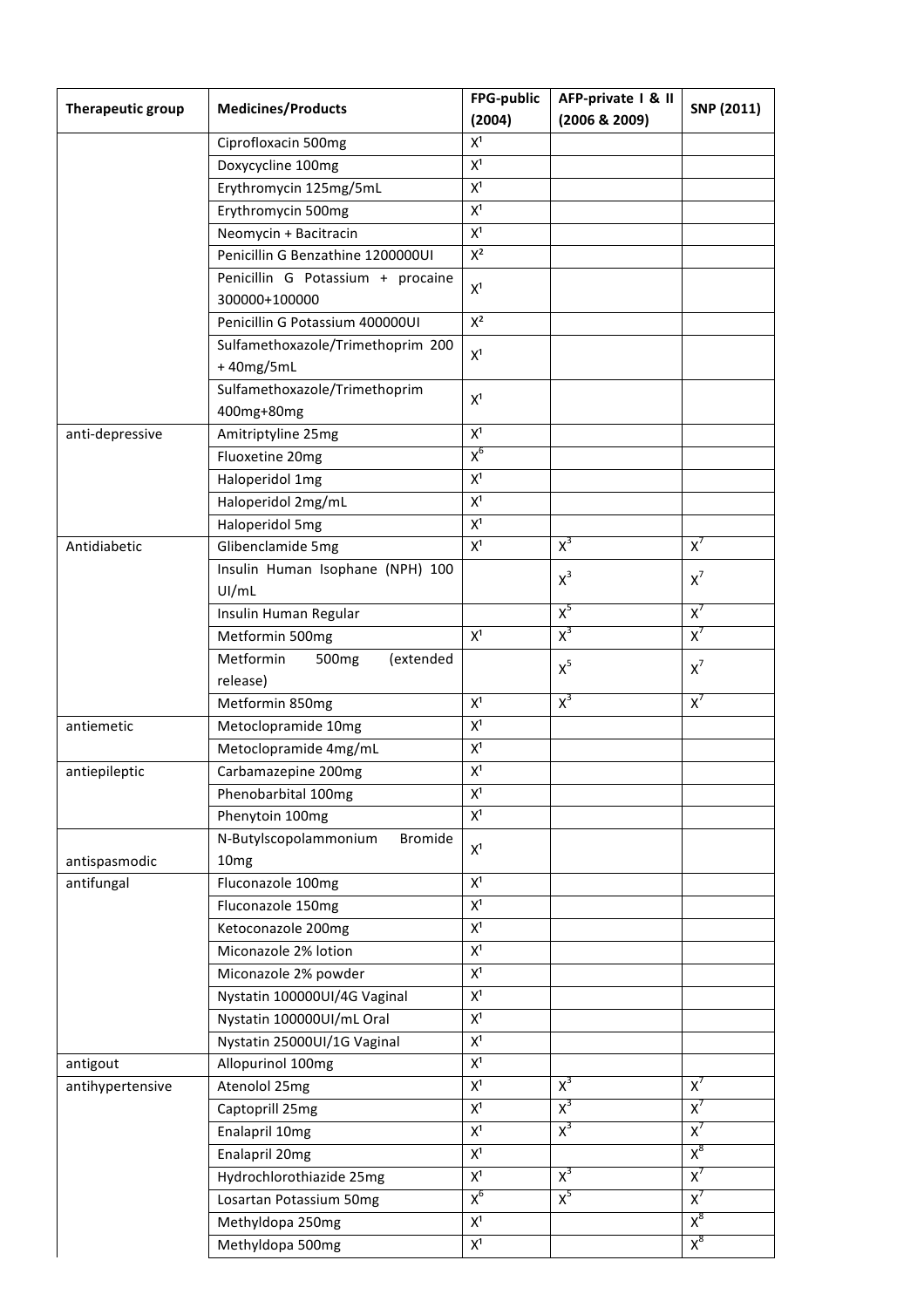| Therapeutic group | <b>Medicines/Products</b>                   | FPG-public     | AFP-private   & II | SNP (2011) |
|-------------------|---------------------------------------------|----------------|--------------------|------------|
|                   |                                             | (2004)         | (2006 & 2009)      |            |
|                   | Ciprofloxacin 500mg                         | $\mathsf{X}^1$ |                    |            |
|                   | Doxycycline 100mg                           | $X^1$          |                    |            |
|                   | Erythromycin 125mg/5mL                      | $X^1$          |                    |            |
|                   | Erythromycin 500mg                          | $X^1$          |                    |            |
|                   | Neomycin + Bacitracin                       | $X^1$          |                    |            |
|                   | Penicillin G Benzathine 1200000UI           | $\mathsf{X}^2$ |                    |            |
|                   | Penicillin G Potassium + procaine           | $X^1$          |                    |            |
|                   | 300000+100000                               |                |                    |            |
|                   | Penicillin G Potassium 400000UI             | $\mathsf{X}^2$ |                    |            |
|                   | Sulfamethoxazole/Trimethoprim 200           | $X^1$          |                    |            |
|                   | +40mg/5mL                                   |                |                    |            |
|                   | Sulfamethoxazole/Trimethoprim               | $X^1$          |                    |            |
|                   | 400mg+80mg                                  |                |                    |            |
| anti-depressive   | Amitriptyline 25mg                          | $X^1$          |                    |            |
|                   | Fluoxetine 20mg                             | $X^6$          |                    |            |
|                   | Haloperidol 1mg                             | $\mathsf{X}^1$ |                    |            |
|                   | Haloperidol 2mg/mL                          | $\mathsf{X}^1$ |                    |            |
|                   | Haloperidol 5mg                             | $X^1$          |                    |            |
| Antidiabetic      | Glibenclamide 5mg                           | $X^1$          | $X^3$              | $X^7$      |
|                   | Insulin Human Isophane (NPH) 100            |                | $X^3$              | $X^7$      |
|                   | UI/mL                                       |                |                    |            |
|                   | Insulin Human Regular                       |                | $X^5$              | $X^7$      |
|                   | Metformin 500mg                             | $X^1$          | $X^3$              | $X^7$      |
|                   | Metformin<br>500 <sub>mg</sub><br>(extended |                | $X^5$              | $x^7$      |
|                   | release)                                    |                |                    |            |
|                   | Metformin 850mg                             | $\mathsf{X}^1$ | $X^3$              | $X^7$      |
| antiemetic        | Metoclopramide 10mg                         | $\mathsf{X}^1$ |                    |            |
|                   | Metoclopramide 4mg/mL                       | $\mathsf{X}^1$ |                    |            |
| antiepileptic     | Carbamazepine 200mg                         | $X^1$          |                    |            |
|                   | Phenobarbital 100mg                         | $X^1$          |                    |            |
|                   | Phenytoin 100mg                             | $X^1$          |                    |            |
|                   | N-Butylscopolammonium<br><b>Bromide</b>     | $X^1$          |                    |            |
| antispasmodic     | 10 <sub>mg</sub>                            |                |                    |            |
| antifungal        | Fluconazole 100mg                           | $X^1$          |                    |            |
|                   | Fluconazole 150mg                           | $X^1$          |                    |            |
|                   | Ketoconazole 200mg                          | $X^1$          |                    |            |
|                   | Miconazole 2% lotion                        | $X^1$          |                    |            |
|                   | Miconazole 2% powder                        | $X^1$          |                    |            |
|                   | Nystatin 100000UI/4G Vaginal                | $X^1$          |                    |            |
|                   | Nystatin 100000UI/mL Oral                   | $X^1$          |                    |            |
|                   | Nystatin 25000UI/1G Vaginal                 | $X^1$          |                    |            |
| antigout          | Allopurinol 100mg                           | $\mathsf{X}^1$ |                    |            |
| antihypertensive  | Atenolol 25mg                               | $X^1$          | $X^3$              | $X^7$      |
|                   | Captoprill 25mg                             | X <sup>1</sup> | $X^3$              | $X^7$      |
|                   | Enalapril 10mg                              | $X^1$          | $X^3$              | $X^7$      |
|                   | Enalapril 20mg                              | $X^1$          |                    | $X^8$      |
|                   | Hydrochlorothiazide 25mg                    | $X^1$          | $X^3$              | $X^7$      |
|                   | Losartan Potassium 50mg                     | $X^6$          | $X^5$              | $X^7$      |
|                   | Methyldopa 250mg                            | $X^1$          |                    | $X^8$      |
|                   | Methyldopa 500mg                            | $X^1$          |                    | $X^8$      |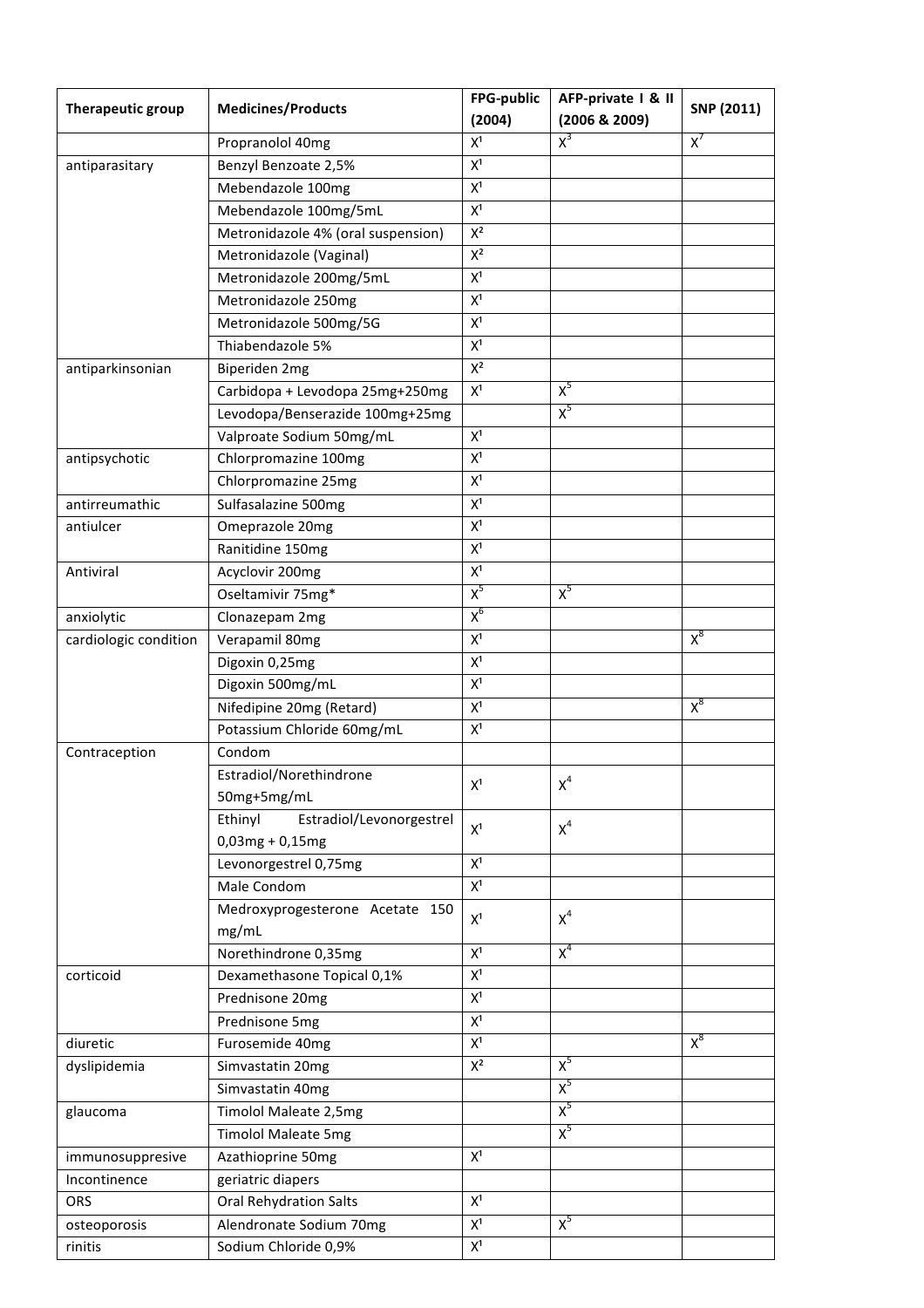| Therapeutic group     | <b>Medicines/Products</b>           | FPG-public<br>(2004) | AFP-private   & II<br>(2006 & 2009) | SNP (2011) |
|-----------------------|-------------------------------------|----------------------|-------------------------------------|------------|
|                       | Propranolol 40mg                    | $\mathsf{X}^1$       | $X^3$                               | $X^7$      |
| antiparasitary        | Benzyl Benzoate 2,5%                | $X^1$                |                                     |            |
|                       | Mebendazole 100mg                   | $\mathsf{X}^1$       |                                     |            |
|                       | Mebendazole 100mg/5mL               | $X^1$                |                                     |            |
|                       | Metronidazole 4% (oral suspension)  | $X^2$                |                                     |            |
|                       | Metronidazole (Vaginal)             | $\mathsf{X}^2$       |                                     |            |
|                       | Metronidazole 200mg/5mL             | $\mathsf{X}^1$       |                                     |            |
|                       | Metronidazole 250mg                 | $\mathsf{X}^1$       |                                     |            |
|                       | Metronidazole 500mg/5G              | $X^1$                |                                     |            |
|                       | Thiabendazole 5%                    | $X^1$                |                                     |            |
| antiparkinsonian      | Biperiden 2mg                       | $X^2$                |                                     |            |
|                       | Carbidopa + Levodopa 25mg+250mg     | X <sup>1</sup>       | $X^5$                               |            |
|                       | Levodopa/Benserazide 100mg+25mg     |                      | $X^5$                               |            |
|                       | Valproate Sodium 50mg/mL            | $\mathsf{X}^1$       |                                     |            |
| antipsychotic         | Chlorpromazine 100mg                | $\mathsf{X}^1$       |                                     |            |
|                       | Chlorpromazine 25mg                 | $X^1$                |                                     |            |
| antirreumathic        | Sulfasalazine 500mg                 | $X^1$                |                                     |            |
| antiulcer             | Omeprazole 20mg                     | $X^1$                |                                     |            |
|                       | Ranitidine 150mg                    | $\mathsf{X}^1$       |                                     |            |
| Antiviral             | Acyclovir 200mg                     | $\mathsf{X}^1$       |                                     |            |
|                       | Oseltamivir 75mg*                   | $X^5$                | $X^5$                               |            |
| anxiolytic            | Clonazepam 2mg                      | $X^6$                |                                     |            |
| cardiologic condition | Verapamil 80mg                      | $\mathsf{X}^1$       |                                     | $X^8$      |
|                       | Digoxin 0,25mg                      | $\mathsf{X}^1$       |                                     |            |
|                       | Digoxin 500mg/mL                    | $\mathsf{X}^1$       |                                     |            |
|                       | Nifedipine 20mg (Retard)            | $\mathsf{X}^1$       |                                     | $X^8$      |
|                       | Potassium Chloride 60mg/mL          | $\mathsf{X}^1$       |                                     |            |
| Contraception         | Condom                              |                      |                                     |            |
|                       | Estradiol/Norethindrone             |                      |                                     |            |
|                       | 50mg+5mg/mL                         | $\mathsf{X}^1$       | $\chi^4$                            |            |
|                       | Ethinyl<br>Estradiol/Levonorgestrel |                      |                                     |            |
|                       | $0,03mg + 0,15mg$                   | $\mathsf{X}^1$       | $X^4$                               |            |
|                       | Levonorgestrel 0,75mg               | $\mathsf{X}^1$       |                                     |            |
|                       | Male Condom                         | $\mathsf{X}^1$       |                                     |            |
|                       | Medroxyprogesterone Acetate 150     |                      |                                     |            |
|                       | mg/mL                               | $X^1$                | $X^4$                               |            |
|                       | Norethindrone 0,35mg                | $\mathsf{X}^1$       | $X^4$                               |            |
| corticoid             | Dexamethasone Topical 0,1%          | $X^1$                |                                     |            |
|                       | Prednisone 20mg                     | $\mathsf{X}^1$       |                                     |            |
|                       | Prednisone 5mg                      | $\mathsf{X}^1$       |                                     |            |
| diuretic              | Furosemide 40mg                     | X <sup>1</sup>       |                                     | $X^8$      |
| dyslipidemia          | Simvastatin 20mg                    | $\mathsf{X}^2$       | $X^5$                               |            |
|                       | Simvastatin 40mg                    |                      | $X^5$                               |            |
| glaucoma              | Timolol Maleate 2,5mg               |                      | $X^5$                               |            |
|                       | <b>Timolol Maleate 5mg</b>          |                      | $X^5$                               |            |
| immunosuppresive      | Azathioprine 50mg                   | X <sup>1</sup>       |                                     |            |
| Incontinence          | geriatric diapers                   |                      |                                     |            |
| ORS                   | <b>Oral Rehydration Salts</b>       | $\mathsf{X}^1$       |                                     |            |
| osteoporosis          | Alendronate Sodium 70mg             | $\mathsf{X}^1$       | $X^5$                               |            |
| rinitis               | Sodium Chloride 0,9%                | $\mathsf{X}^1$       |                                     |            |
|                       |                                     |                      |                                     |            |